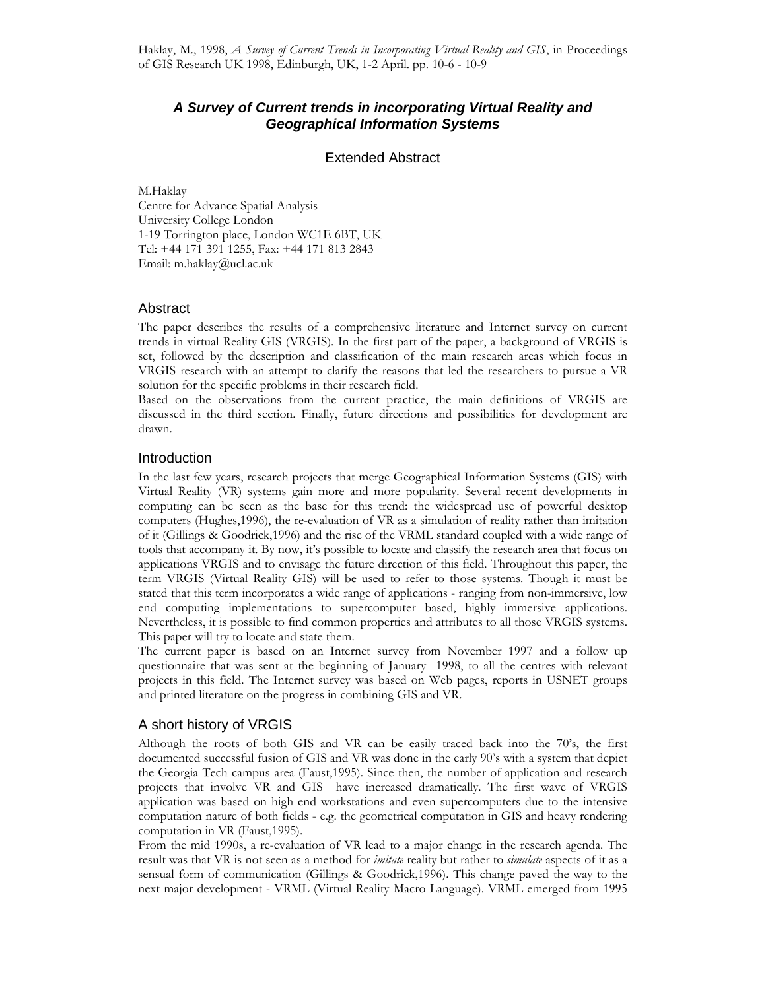# **A Survey of Current trends in incorporating Virtual Reality and Geographical Information Systems**

# Extended Abstract

M.Haklay Centre for Advance Spatial Analysis University College London 1-19 Torrington place, London WC1E 6BT, UK Tel: +44 171 391 1255, Fax: +44 171 813 2843 Email: m.haklay@ucl.ac.uk

#### Abstract

The paper describes the results of a comprehensive literature and Internet survey on current trends in virtual Reality GIS (VRGIS). In the first part of the paper, a background of VRGIS is set, followed by the description and classification of the main research areas which focus in VRGIS research with an attempt to clarify the reasons that led the researchers to pursue a VR solution for the specific problems in their research field.

Based on the observations from the current practice, the main definitions of VRGIS are discussed in the third section. Finally, future directions and possibilities for development are drawn.

#### Introduction

In the last few years, research projects that merge Geographical Information Systems (GIS) with Virtual Reality (VR) systems gain more and more popularity. Several recent developments in computing can be seen as the base for this trend: the widespread use of powerful desktop computers (Hughes,1996), the re-evaluation of VR as a simulation of reality rather than imitation of it (Gillings & Goodrick,1996) and the rise of the VRML standard coupled with a wide range of tools that accompany it. By now, it's possible to locate and classify the research area that focus on applications VRGIS and to envisage the future direction of this field. Throughout this paper, the term VRGIS (Virtual Reality GIS) will be used to refer to those systems. Though it must be stated that this term incorporates a wide range of applications - ranging from non-immersive, low end computing implementations to supercomputer based, highly immersive applications. Nevertheless, it is possible to find common properties and attributes to all those VRGIS systems. This paper will try to locate and state them.

The current paper is based on an Internet survey from November 1997 and a follow up questionnaire that was sent at the beginning of January 1998, to all the centres with relevant projects in this field. The Internet survey was based on Web pages, reports in USNET groups and printed literature on the progress in combining GIS and VR.

# A short history of VRGIS

Although the roots of both GIS and VR can be easily traced back into the 70's, the first documented successful fusion of GIS and VR was done in the early 90's with a system that depict the Georgia Tech campus area (Faust,1995). Since then, the number of application and research projects that involve VR and GIS have increased dramatically. The first wave of VRGIS application was based on high end workstations and even supercomputers due to the intensive computation nature of both fields - e.g. the geometrical computation in GIS and heavy rendering computation in VR (Faust,1995).

From the mid 1990s, a re-evaluation of VR lead to a major change in the research agenda. The result was that VR is not seen as a method for *imitate* reality but rather to *simulate* aspects of it as a sensual form of communication (Gillings & Goodrick,1996). This change paved the way to the next major development - VRML (Virtual Reality Macro Language). VRML emerged from 1995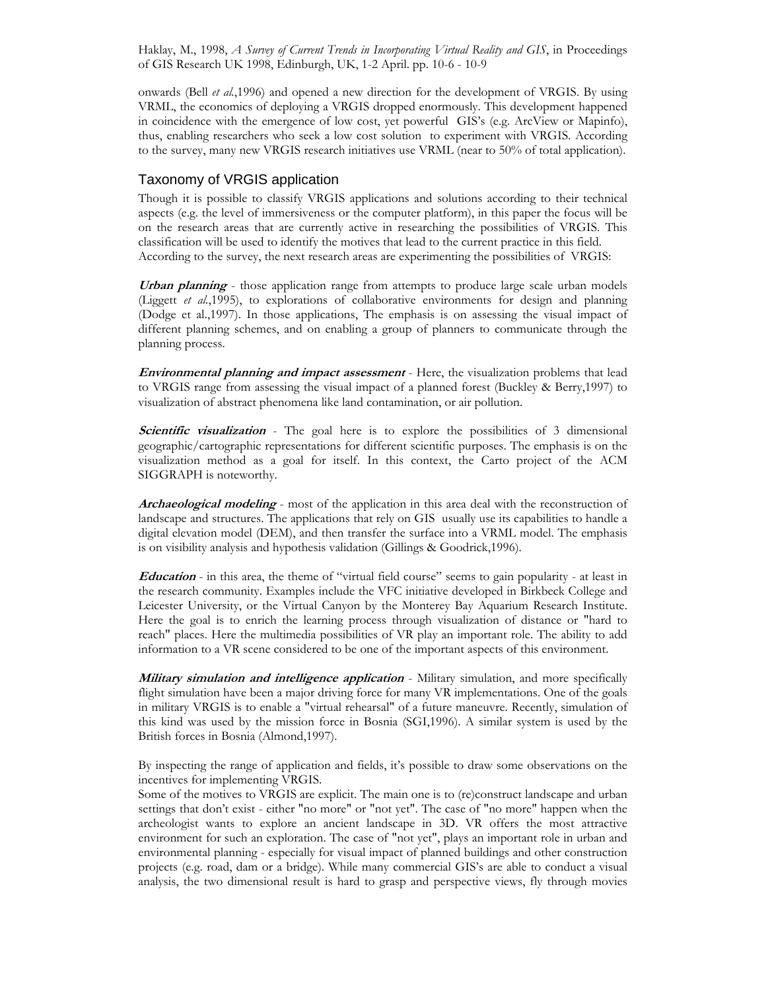onwards (Bell et al.,1996) and opened a new direction for the development of VRGIS. By using VRML, the economics of deploying a VRGIS dropped enormously. This development happened in coincidence with the emergence of low cost, yet powerful GIS's (e.g. ArcView or Mapinfo), thus, enabling researchers who seek a low cost solution to experiment with VRGIS. According to the survey, many new VRGIS research initiatives use VRML (near to 50% of total application).

#### Taxonomy of VRGIS application

Though it is possible to classify VRGIS applications and solutions according to their technical aspects (e.g. the level of immersiveness or the computer platform), in this paper the focus will be on the research areas that are currently active in researching the possibilities of VRGIS. This classification will be used to identify the motives that lead to the current practice in this field. According to the survey, the next research areas are experimenting the possibilities of VRGIS:

Urban planning - those application range from attempts to produce large scale urban models (Liggett et al.,1995), to explorations of collaborative environments for design and planning (Dodge et al.,1997). In those applications, The emphasis is on assessing the visual impact of different planning schemes, and on enabling a group of planners to communicate through the planning process.

**Environmental planning and impact assessment** - Here, the visualization problems that lead to VRGIS range from assessing the visual impact of a planned forest (Buckley & Berry,1997) to visualization of abstract phenomena like land contamination, or air pollution.

Scientific visualization - The goal here is to explore the possibilities of 3 dimensional geographic/cartographic representations for different scientific purposes. The emphasis is on the visualization method as a goal for itself. In this context, the Carto project of the ACM SIGGRAPH is noteworthy.

Archaeological modeling - most of the application in this area deal with the reconstruction of landscape and structures. The applications that rely on GIS usually use its capabilities to handle a digital elevation model (DEM), and then transfer the surface into a VRML model. The emphasis is on visibility analysis and hypothesis validation (Gillings & Goodrick,1996).

Education - in this area, the theme of "virtual field course" seems to gain popularity - at least in the research community. Examples include the VFC initiative developed in Birkbeck College and Leicester University, or the Virtual Canyon by the Monterey Bay Aquarium Research Institute. Here the goal is to enrich the learning process through visualization of distance or "hard to reach" places. Here the multimedia possibilities of VR play an important role. The ability to add information to a VR scene considered to be one of the important aspects of this environment.

**Military simulation and intelligence application** - Military simulation, and more specifically flight simulation have been a major driving force for many VR implementations. One of the goals in military VRGIS is to enable a "virtual rehearsal" of a future maneuvre. Recently, simulation of this kind was used by the mission force in Bosnia (SGI,1996). A similar system is used by the British forces in Bosnia (Almond,1997).

By inspecting the range of application and fields, it's possible to draw some observations on the incentives for implementing VRGIS.

Some of the motives to VRGIS are explicit. The main one is to (re)construct landscape and urban settings that don't exist - either "no more" or "not yet". The case of "no more" happen when the archeologist wants to explore an ancient landscape in 3D. VR offers the most attractive environment for such an exploration. The case of "not yet", plays an important role in urban and environmental planning - especially for visual impact of planned buildings and other construction projects (e.g. road, dam or a bridge). While many commercial GIS's are able to conduct a visual analysis, the two dimensional result is hard to grasp and perspective views, fly through movies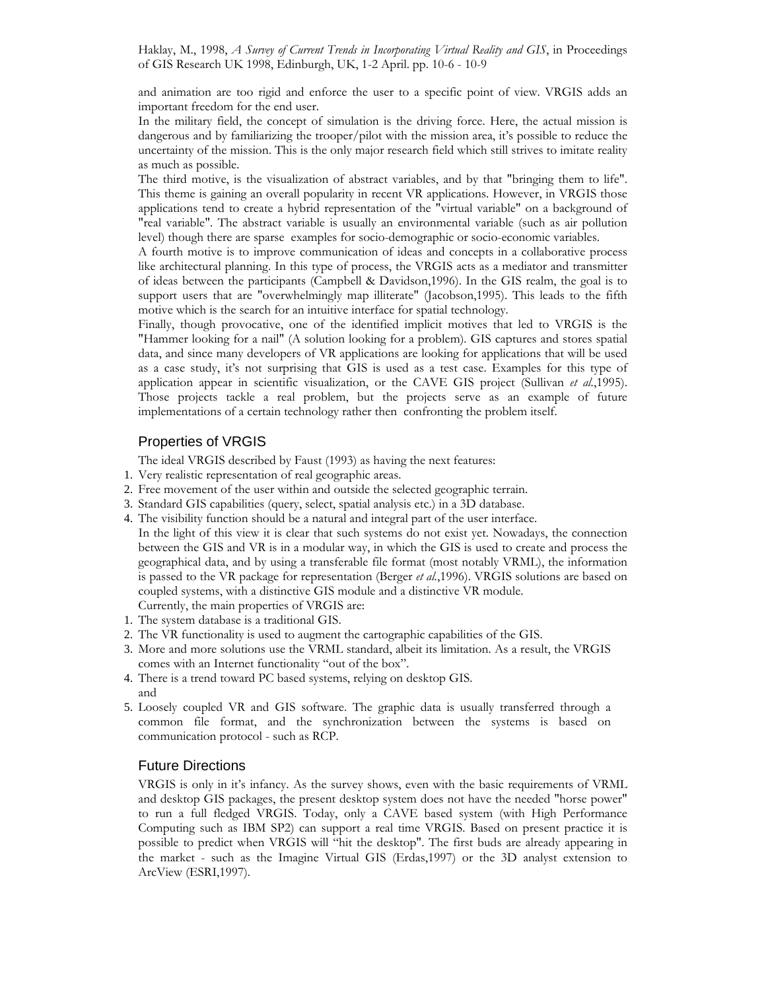and animation are too rigid and enforce the user to a specific point of view. VRGIS adds an important freedom for the end user.

In the military field, the concept of simulation is the driving force. Here, the actual mission is dangerous and by familiarizing the trooper/pilot with the mission area, it's possible to reduce the uncertainty of the mission. This is the only major research field which still strives to imitate reality as much as possible.

The third motive, is the visualization of abstract variables, and by that "bringing them to life". This theme is gaining an overall popularity in recent VR applications. However, in VRGIS those applications tend to create a hybrid representation of the "virtual variable" on a background of "real variable". The abstract variable is usually an environmental variable (such as air pollution level) though there are sparse examples for socio-demographic or socio-economic variables.

A fourth motive is to improve communication of ideas and concepts in a collaborative process like architectural planning. In this type of process, the VRGIS acts as a mediator and transmitter of ideas between the participants (Campbell & Davidson,1996). In the GIS realm, the goal is to support users that are "overwhelmingly map illiterate" (Jacobson,1995). This leads to the fifth motive which is the search for an intuitive interface for spatial technology.

Finally, though provocative, one of the identified implicit motives that led to VRGIS is the "Hammer looking for a nail" (A solution looking for a problem). GIS captures and stores spatial data, and since many developers of VR applications are looking for applications that will be used as a case study, it's not surprising that GIS is used as a test case. Examples for this type of application appear in scientific visualization, or the CAVE GIS project (Sullivan et al.,1995). Those projects tackle a real problem, but the projects serve as an example of future implementations of a certain technology rather then confronting the problem itself.

# Properties of VRGIS

The ideal VRGIS described by Faust (1993) as having the next features:

- 1. Very realistic representation of real geographic areas.
- 2. Free movement of the user within and outside the selected geographic terrain.
- 3. Standard GIS capabilities (query, select, spatial analysis etc.) in a 3D database.
- 4. The visibility function should be a natural and integral part of the user interface.

In the light of this view it is clear that such systems do not exist yet. Nowadays, the connection between the GIS and VR is in a modular way, in which the GIS is used to create and process the geographical data, and by using a transferable file format (most notably VRML), the information is passed to the VR package for representation (Berger *et al.*,1996). VRGIS solutions are based on coupled systems, with a distinctive GIS module and a distinctive VR module.

Currently, the main properties of VRGIS are: 1. The system database is a traditional GIS.

- 2. The VR functionality is used to augment the cartographic capabilities of the GIS.
- 3. More and more solutions use the VRML standard, albeit its limitation. As a result, the VRGIS comes with an Internet functionality "out of the box".
- 4. There is a trend toward PC based systems, relying on desktop GIS. and
- 5. Loosely coupled VR and GIS software. The graphic data is usually transferred through a common file format, and the synchronization between the systems is based on communication protocol - such as RCP.

# Future Directions

VRGIS is only in it's infancy. As the survey shows, even with the basic requirements of VRML and desktop GIS packages, the present desktop system does not have the needed "horse power" to run a full fledged VRGIS. Today, only a CAVE based system (with High Performance Computing such as IBM SP2) can support a real time VRGIS. Based on present practice it is possible to predict when VRGIS will "hit the desktop". The first buds are already appearing in the market - such as the Imagine Virtual GIS (Erdas,1997) or the 3D analyst extension to ArcView (ESRI,1997).